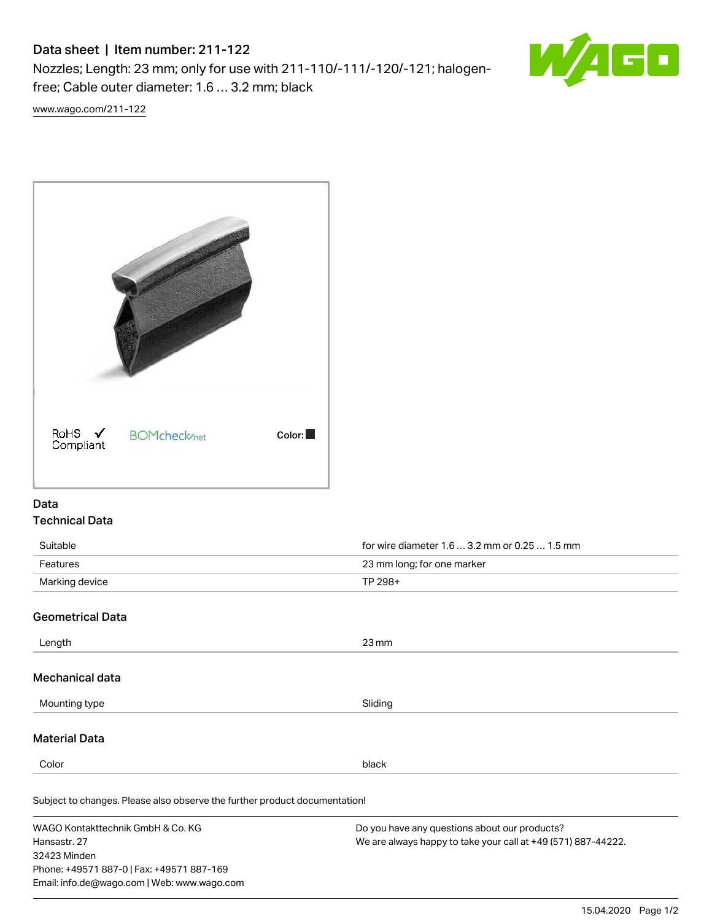# Data sheet | Item number: 211-122

Nozzles; Length: 23 mm; only for use with 211-110/-111/-120/-121; halogenfree; Cable outer diameter: 1.6 … 3.2 mm; black



[www.wago.com/211-122](http://www.wago.com/211-122)



## Data Technical Data

| Suitable                | for wire diameter 1.6  3.2 mm or 0.25  1.5 mm |
|-------------------------|-----------------------------------------------|
| Features                | 23 mm long; for one marker                    |
| Marking device          | TP 298+                                       |
| <b>Geometrical Data</b> |                                               |
| Length                  | $23 \,\mathrm{mm}$                            |
| Mechanical data         |                                               |
| Mounting type           | Sliding                                       |
| <b>Material Data</b>    |                                               |
| Color                   | black                                         |

Subject to changes. Please also observe the further product documentation! Halogen-free Yes

WAGO Kontakttechnik GmbH & Co. KG Hansastr. 27 32423 Minden Phone: +49571 887-0 | Fax: +49571 887-169 Email: info.de@wago.com | Web: www.wago.com

Do you have any questions about our products? We are always happy to take your call at +49 (571) 887-44222.